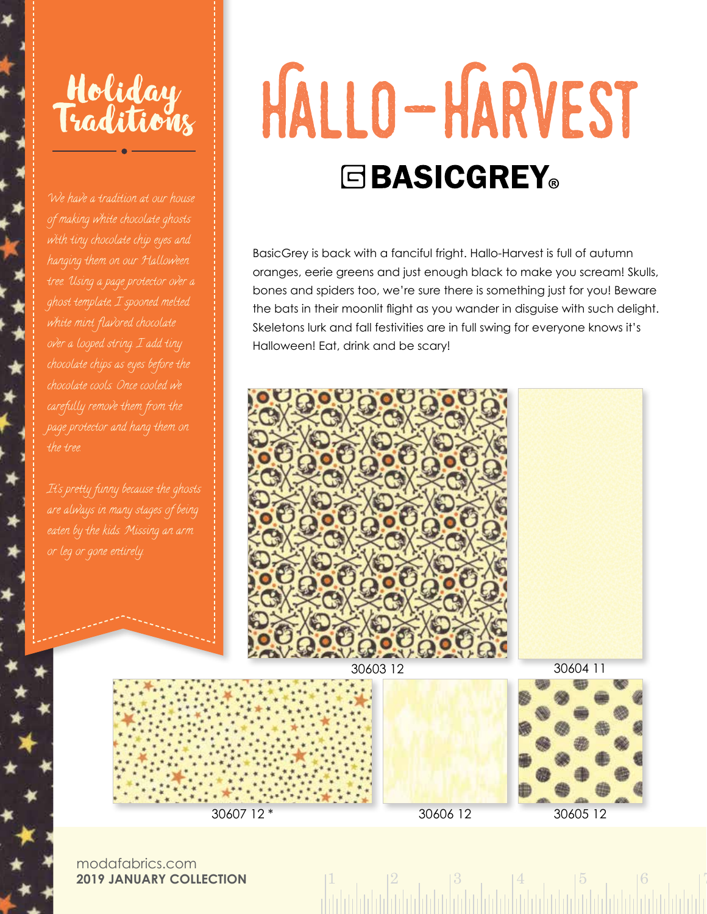## Holiday Traditions

We have a tradition at our house ghost template, I spooned melted the tree.

## HALLO-HARVEST **EBASICGREY**®

BasicGrey is back with a fanciful fright. Hallo-Harvest is full of autumn oranges, eerie greens and just enough black to make you scream! Skulls, bones and spiders too, we're sure there is something just for you! Beware the bats in their moonlit flight as you wander in disguise with such delight. Skeletons lurk and fall festivities are in full swing for everyone knows it's Halloween! Eat, drink and be scary!



 $1 \t 2 \t 3 \t 4 \t 5 \t 6 \t 7$ 

modafabrics.com **2019 JANUARY COLLECTION**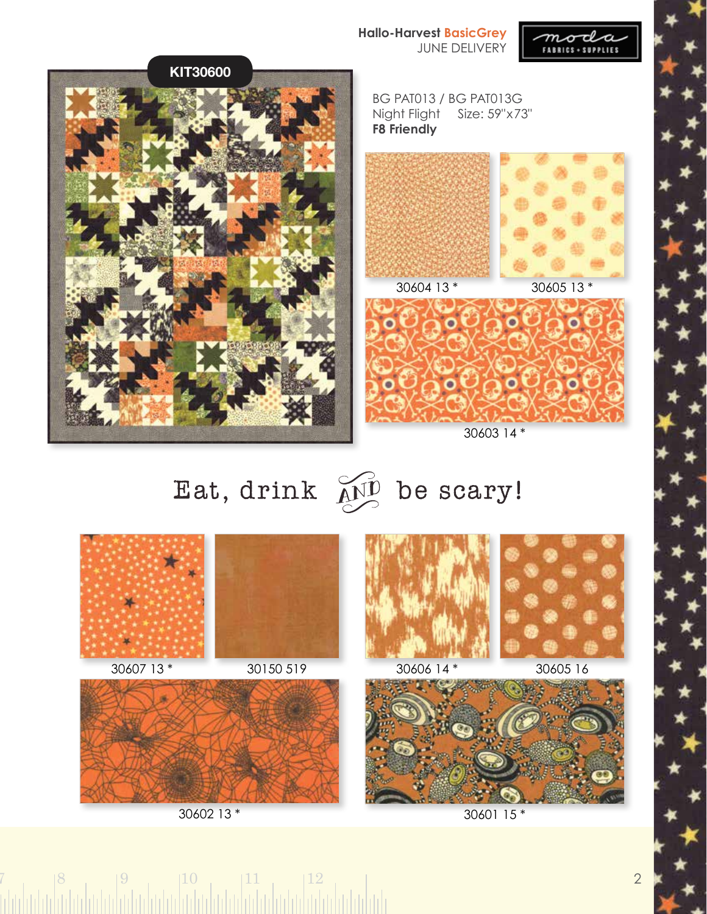**Hallo-Harvest BasicGrey** JUNE DELIVERY





## Eat, drink  $\widetilde{AD}$  be scary!



 $7 \t\t |8 \t\t |9 \t\t |10 \t\t |11 \t\t |12 \t\t |13 \t\t |14 \t\t |15 \t\t |17 \t\t |18 \t\t |19 \t\t |11 \t\t |12 \t\t |13 \t\t |14 \t\t |15 \t\t |15 \t\t |15 \t\t |16 \t\t |17 \t\t |17 \t\t |17 \t\t |17 \t\t |17 \t\t |18 \t\t |17 \t\t |18 \t\t |19 \t\t |19 \t\t |19 \t\t |11 \t\t |12 \t\t |17 \t\t |19 \t\t |19 \t\t |19 \t\t |1$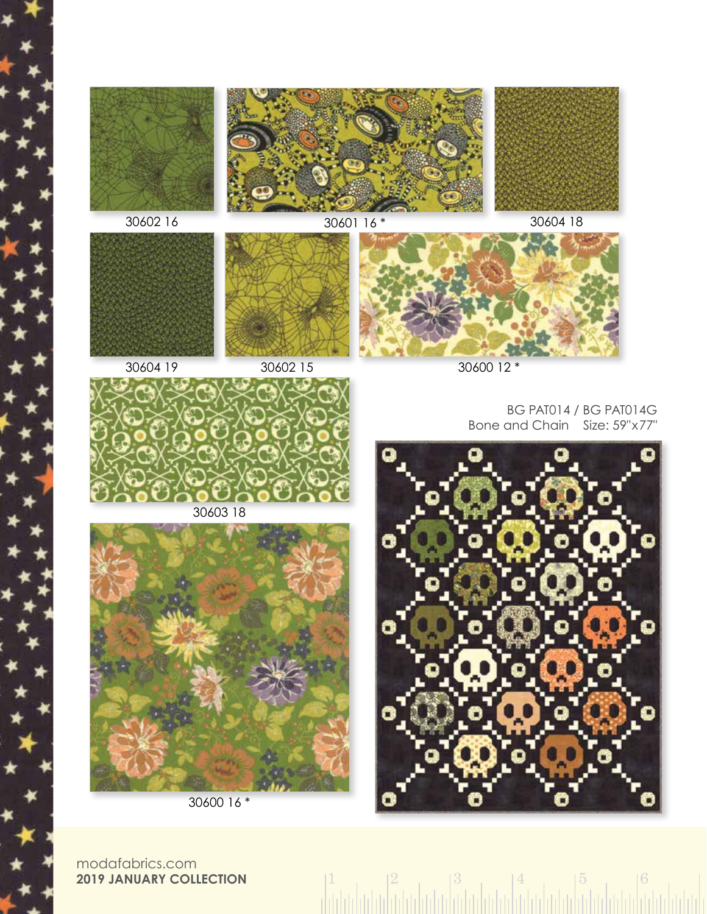

30604 19

30600 12 \*

BG PAT014 / BG PAT014G Bone and Chain Size: 59"x77"



 $1 \t| 2 \t| 3 \t| 4 \t| 5 \t| 6$ 



30603 18



30600 16 \*

modafabrics.com **2019 JANUARY COLLECTION**